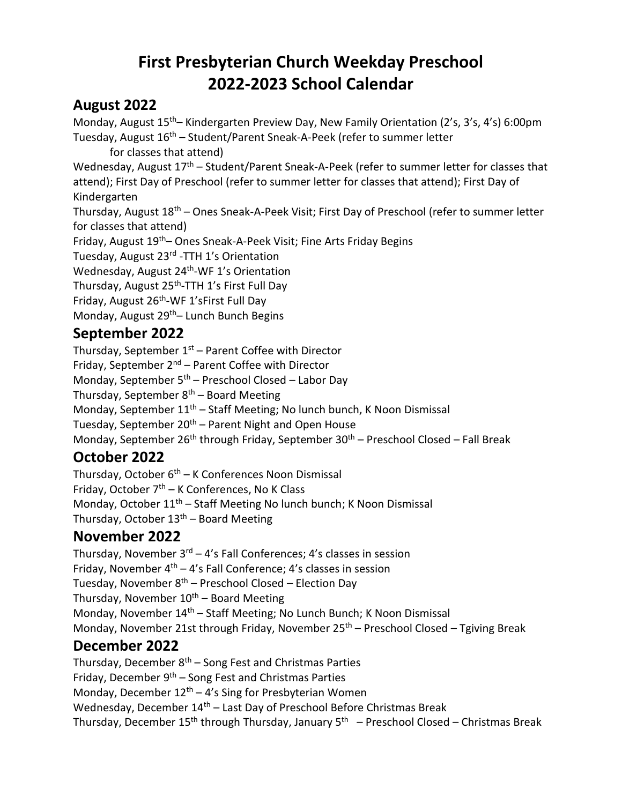# **First Presbyterian Church Weekday Preschool 2022-2023 School Calendar**

### **August 2022**

Monday, August 15<sup>th</sup>– Kindergarten Preview Day, New Family Orientation (2's, 3's, 4's) 6:00pm Tuesday, August 16<sup>th</sup> – Student/Parent Sneak-A-Peek (refer to summer letter

for classes that attend)

Wednesday, August 17<sup>th</sup> – Student/Parent Sneak-A-Peek (refer to summer letter for classes that attend); First Day of Preschool (refer to summer letter for classes that attend); First Day of Kindergarten

Thursday, August 18<sup>th</sup> – Ones Sneak-A-Peek Visit; First Day of Preschool (refer to summer letter for classes that attend)

Friday, August 19th– Ones Sneak-A-Peek Visit; Fine Arts Friday Begins

Tuesday, August 23<sup>rd</sup> -TTH 1's Orientation

Wednesday, August 24<sup>th</sup>-WF 1's Orientation

Thursday, August 25<sup>th</sup>-TTH 1's First Full Day

Friday, August 26<sup>th</sup>-WF 1'sFirst Full Day

Monday, August 29<sup>th</sup>– Lunch Bunch Begins

### **September 2022**

Thursday, September 1<sup>st</sup> – Parent Coffee with Director Friday, September 2<sup>nd</sup> – Parent Coffee with Director Monday, September 5<sup>th</sup> – Preschool Closed – Labor Day Thursday, September 8<sup>th</sup> – Board Meeting Monday, September 11<sup>th</sup> – Staff Meeting; No lunch bunch, K Noon Dismissal Tuesday, September 20<sup>th</sup> – Parent Night and Open House Monday, September 26<sup>th</sup> through Friday, September 30<sup>th</sup> – Preschool Closed – Fall Break

# **October 2022**

Thursday, October 6<sup>th</sup> – K Conferences Noon Dismissal Friday, October 7<sup>th</sup> – K Conferences, No K Class Monday, October 11<sup>th</sup> – Staff Meeting No lunch bunch; K Noon Dismissal Thursday, October 13<sup>th</sup> – Board Meeting

# **November 2022**

Thursday, November 3<sup>rd</sup> – 4's Fall Conferences; 4's classes in session Friday, November 4<sup>th</sup> – 4's Fall Conference; 4's classes in session Tuesday, November  $8<sup>th</sup>$  – Preschool Closed – Election Day Thursday, November 10<sup>th</sup> – Board Meeting Monday, November 14<sup>th</sup> – Staff Meeting; No Lunch Bunch; K Noon Dismissal Monday, November 21st through Friday, November 25<sup>th</sup> – Preschool Closed – Tgiving Break

### **December 2022**

Thursday, December 8<sup>th</sup> – Song Fest and Christmas Parties Friday, December 9<sup>th</sup> – Song Fest and Christmas Parties Monday, December  $12<sup>th</sup> - 4$ 's Sing for Presbyterian Women Wednesday, December 14<sup>th</sup> – Last Day of Preschool Before Christmas Break Thursday, December 15<sup>th</sup> through Thursday, January 5<sup>th</sup> – Preschool Closed – Christmas Break